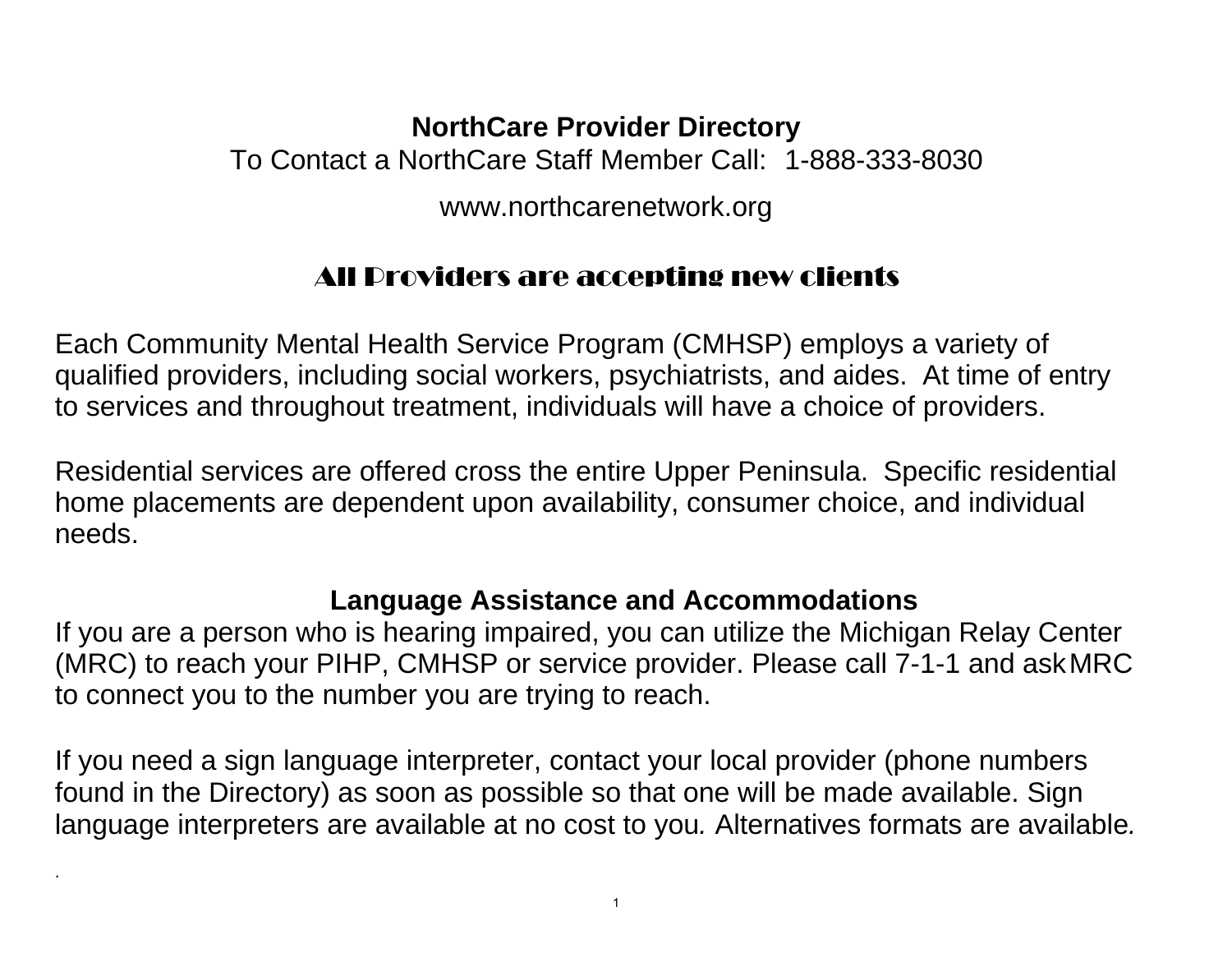## **NorthCare Provider Directory**

To Contact a NorthCare Staff Member Call: 1-888-333-8030

[www.northcarenetwork.org](http://www.northcarenetwork.org/)

## All Providers are accepting new clients

Each Community Mental Health Service Program (CMHSP) employs a variety of qualified providers, including social workers, psychiatrists, and aides. At time of entry to services and throughout treatment, individuals will have a choice of providers.

Residential services are offered cross the entire Upper Peninsula. Specific residential home placements are dependent upon availability, consumer choice, and individual needs.

## **Language Assistance and Accommodations**

If you are a person who is hearing impaired, you can utilize the Michigan Relay Center (MRC) to reach your PIHP, CMHSP or service provider. Please call 7-1-1 and askMRC to connect you to the number you are trying to reach.

If you need a sign language interpreter, contact your local provider (phone numbers found in the Directory) as soon as possible so that one will be made available. Sign language interpreters are available at no cost to you*.* Alternatives formats are available*.* 

.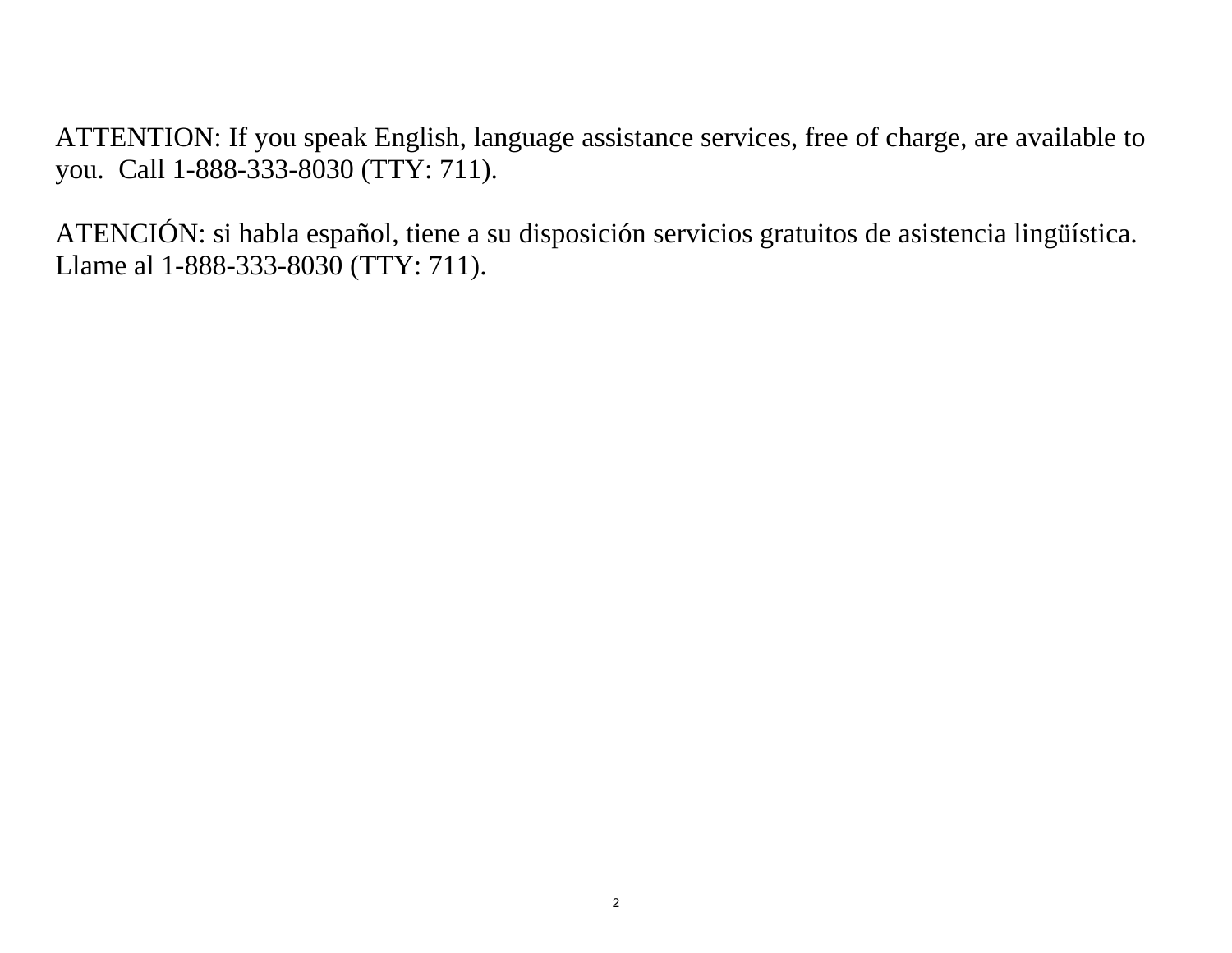ATTENTION: If you speak English, language assistance services, free of charge, are available to you. Call 1-888-333-8030 (TTY: 711).

ATENCIÓN: si habla español, tiene a su disposición servicios gratuitos de asistencia lingüística. Llame al 1-888-333-8030 (TTY: 711).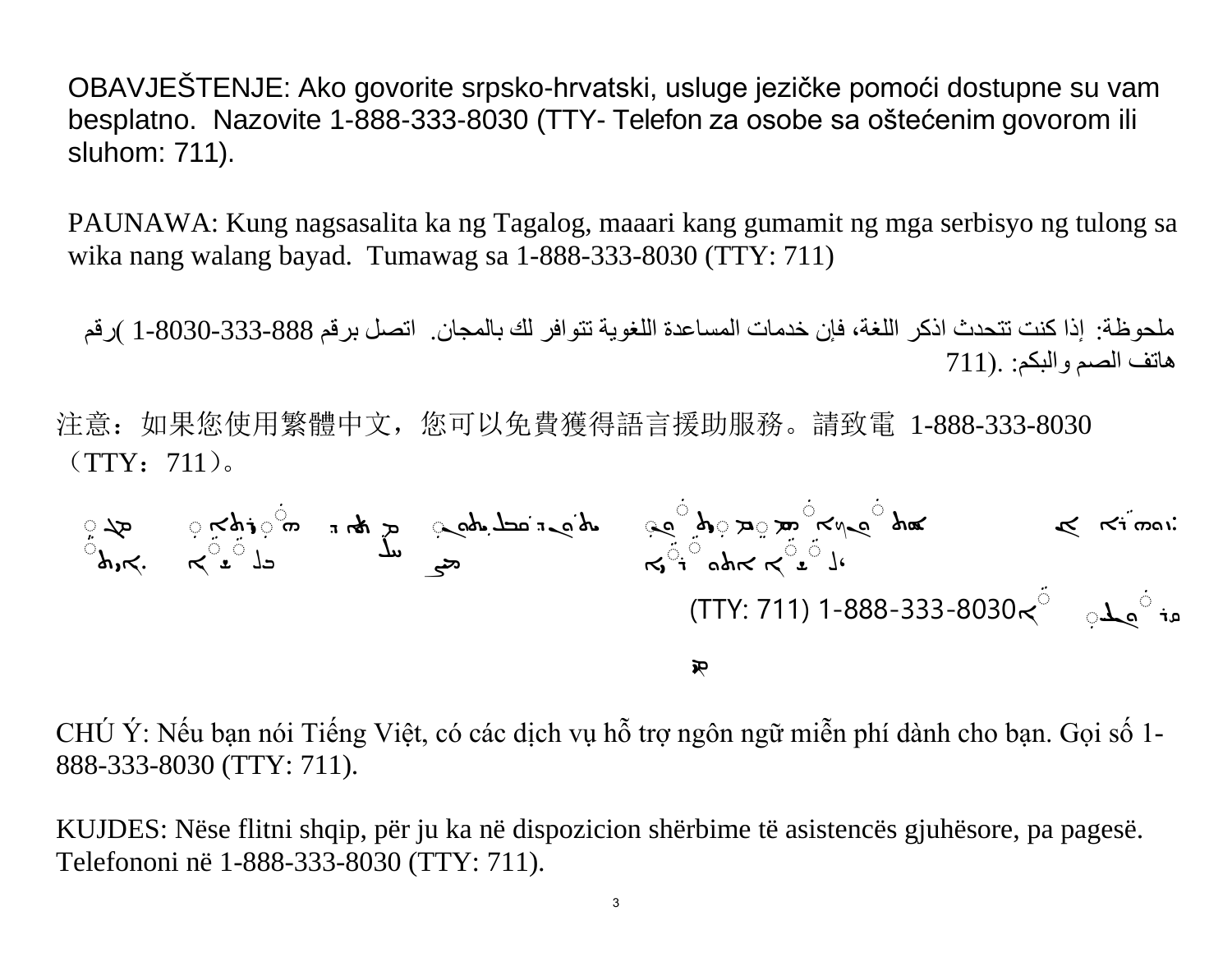OBAVJEŠTENJE: Ako govorite srpsko-hrvatski, usluge jezičke pomoći dostupne su vam besplatno. Nazovite 1-888-333-8030 (TTY- Telefon za osobe sa oštećenim govorom ili sluhom: 711).

PAUNAWA: Kung nagsasalita ka ng Tagalog, maaari kang gumamit ng mga serbisyo ng tulong sa wika nang walang bayad. Tumawag sa 1-888-333-8030 (TTY: 711)

ملحوظة: إذا كنت تتحدث اذكر اللغة، فإن خدمات المساعدة اللغویة تتوافر لك بالمجان. اتصل برقم 1-8030-333-888 )رقم ھاتف الصم والبكم: .( 711

注意:如果您使用繁體中文,您可以免費獲得語言援助服務。請致電 1-888-333-8030  $(TTY:711)$ 

$$
\begin{array}{ccccc}\n\begin{array}{ccc}\n\frac{1}{2} & \frac{1}{2} & \frac{1}{2} & \frac{1}{2} & \frac{1}{2} & \frac{1}{2} & \frac{1}{2} & \frac{1}{2} & \frac{1}{2} \\
\frac{1}{2} & \frac{1}{2} & \frac{1}{2} & \frac{1}{2} & \frac{1}{2} & \frac{1}{2} & \frac{1}{2} \\
\frac{1}{2} & \frac{1}{2} & \frac{1}{2} & \frac{1}{2} & \frac{1}{2} & \frac{1}{2} & \frac{1}{2} \\
\frac{1}{2} & \frac{1}{2} & \frac{1}{2} & \frac{1}{2} & \frac{1}{2} & \frac{1}{2} & \frac{1}{2} \\
\frac{1}{2} & \frac{1}{2} & \frac{1}{2} & \frac{1}{2} & \frac{1}{2} & \frac{1}{2} & \frac{1}{2} & \frac{1}{2} \\
\frac{1}{2} & \frac{1}{2} & \frac{1}{2} & \frac{1}{2} & \frac{1}{2} & \frac{1}{2} & \frac{1}{2} & \frac{1}{2} & \frac{1}{2} & \frac{1}{2} \\
\frac{1}{2} & \frac{1}{2} & \frac{1}{2} & \frac{1}{2} & \frac{1}{2} & \frac{1}{2} & \frac{1}{2} & \frac{1}{2} & \frac{1}{2} & \frac{1}{2} & \frac{1}{2} \\
\frac{1}{2} & \frac{1}{2} & \frac{1}{2} & \frac{1}{2} & \frac{1}{2} & \frac{1}{2} & \frac{1}{2} & \frac{1}{2} & \frac{1}{2} & \frac{1}{2} & \frac{1}{2} & \frac{1}{2} & \frac{1}{2} & \frac{1}{2} & \frac{1}{2} & \frac{1}{2} & \frac{1}{2} & \frac{1}{2} & \frac{1}{2} \\
\frac{1}{2} & \frac{1}{2} & \frac{1}{2} & \frac{1}{2} & \frac{1}{2} & \frac{1}{2} & \frac{1}{2} & \frac{1}{2} & \frac{1}{2} & \frac{1}{2} & \frac{1}{2} & \frac{1}{2} & \frac{1}{2} & \frac{1}{2} & \frac{1}{2}
$$

CHÚ Ý: Nếu bạn nói Tiếng Việt, có các dịch vụ hỗ trợ ngôn ngữ miễn phí dành cho bạn. Gọi số 1- 888-333-8030 (TTY: 711).

KUJDES: Nëse flitni shqip, për ju ka në dispozicion shërbime të asistencës gjuhësore, pa pagesë. Telefononi në 1-888-333-8030 (TTY: 711).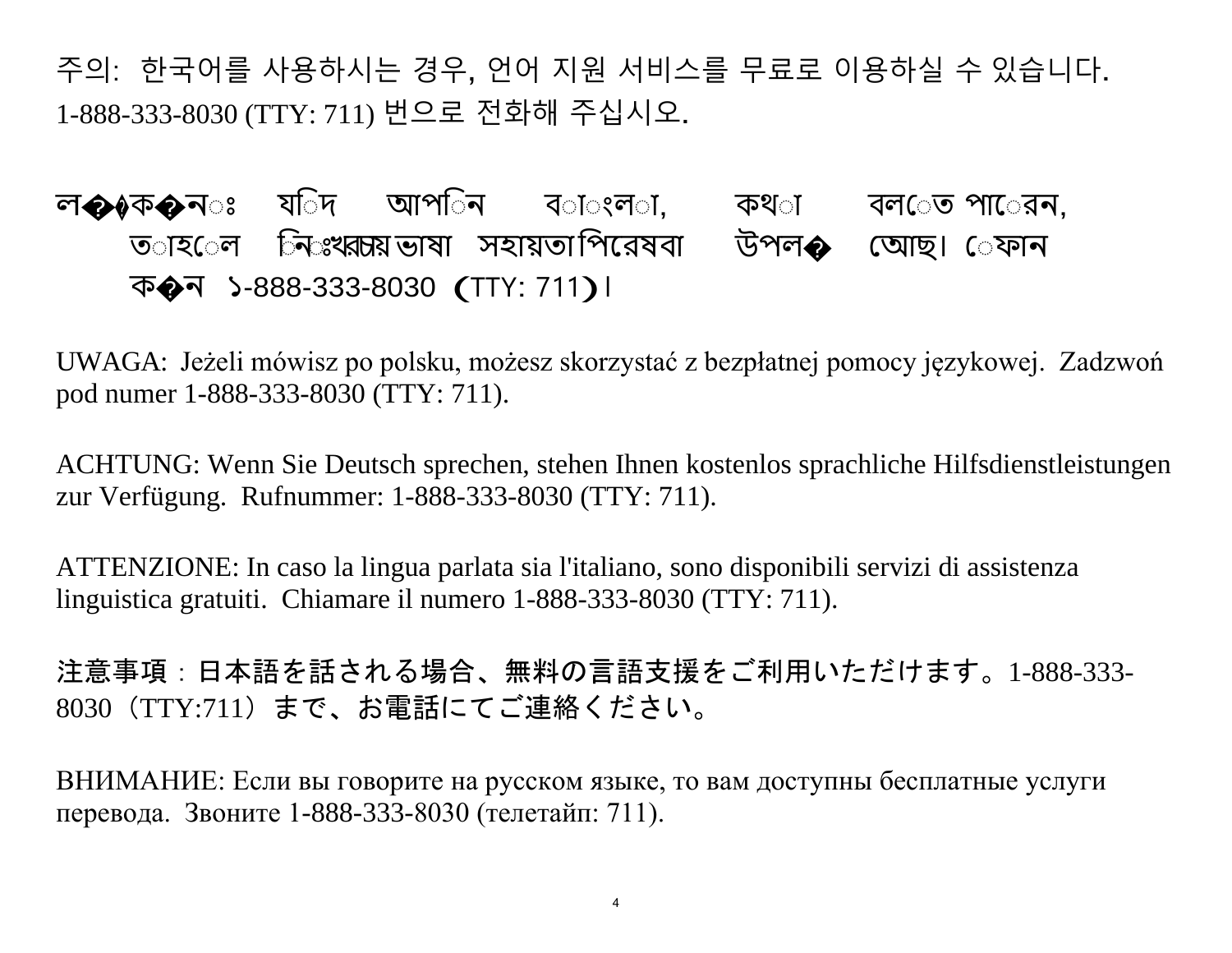주의: 한국어를 사용하시는 경우, 언어 지원 서비스를 무료로 이용하실 수 있습니다. 1-888-333-8030 (TTY: 711) 번으로 전화해 주십시오.

ল��ক�ন্ঃ যতিদ আপতিন বতাঁ্ংলতা, কথতা বলতেত পাতেরন, ত**াহ**েল নিঃখরচায়ভাষা সহায়তাপিরেষবা উপল� অোছ। েফান <sup>ক</sup>�<sup>ন</sup> <sup>১</sup>-888-333-8030 (TTY: <sup>711</sup>)।

UWAGA: Jeżeli mówisz po polsku, możesz skorzystać z bezpłatnej pomocy językowej. Zadzwoń pod numer 1-888-333-8030 (TTY: 711).

ACHTUNG: Wenn Sie Deutsch sprechen, stehen Ihnen kostenlos sprachliche Hilfsdienstleistungen zur Verfügung. Rufnummer: 1-888-333-8030 (TTY: 711).

ATTENZIONE: In caso la lingua parlata sia l'italiano, sono disponibili servizi di assistenza linguistica gratuiti. Chiamare il numero 1-888-333-8030 (TTY: 711).

注意事項:日本語を話される場合、無料の言語支援をご利用いただけます。1-888-333- 8030(TTY:711)まで、お電話にてご連絡ください。

ВНИМАНИЕ: Если вы говорите на русском языке, то вам доступны бесплатные услуги перевода. Звоните 1-888-333-8030 (телетайп: 711).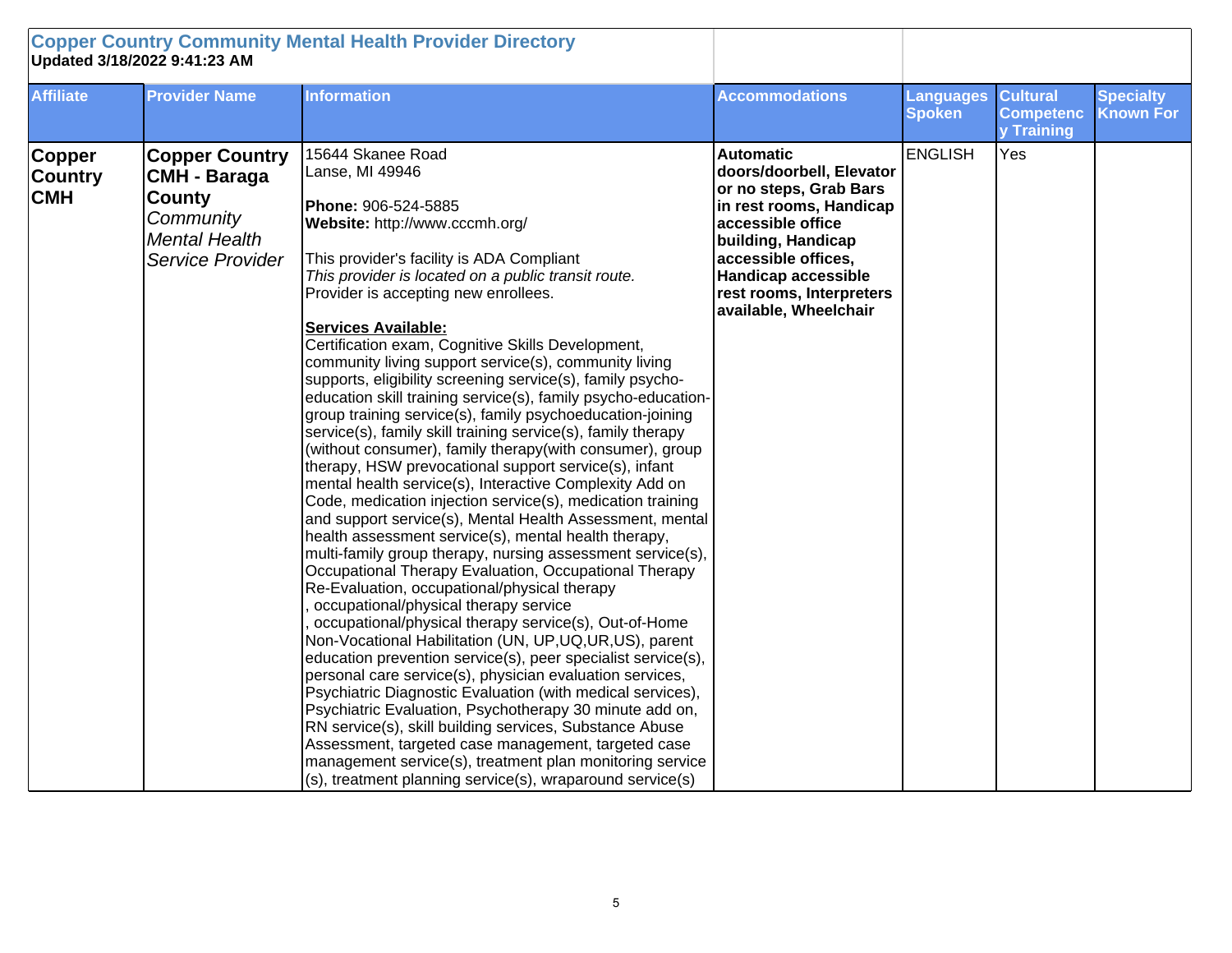| <b>Copper Country Community Mental Health Provider Directory</b><br>Updated 3/18/2022 9:41:23 AM |                                                                                                                 |                                                                                                                                                                                                                                                                                                                                                                                                                                                                                                                                                                                                                                                                                                                                                                                                                                                                                                                                                                                                                                                                                                                                                                                                                                                                                                                                                                                                                                                                                                                                                                                                                                                                                                                                                                                                                                                             |                                                                                                                                                                                                                                                        |                                   |                                                   |                                      |
|--------------------------------------------------------------------------------------------------|-----------------------------------------------------------------------------------------------------------------|-------------------------------------------------------------------------------------------------------------------------------------------------------------------------------------------------------------------------------------------------------------------------------------------------------------------------------------------------------------------------------------------------------------------------------------------------------------------------------------------------------------------------------------------------------------------------------------------------------------------------------------------------------------------------------------------------------------------------------------------------------------------------------------------------------------------------------------------------------------------------------------------------------------------------------------------------------------------------------------------------------------------------------------------------------------------------------------------------------------------------------------------------------------------------------------------------------------------------------------------------------------------------------------------------------------------------------------------------------------------------------------------------------------------------------------------------------------------------------------------------------------------------------------------------------------------------------------------------------------------------------------------------------------------------------------------------------------------------------------------------------------------------------------------------------------------------------------------------------------|--------------------------------------------------------------------------------------------------------------------------------------------------------------------------------------------------------------------------------------------------------|-----------------------------------|---------------------------------------------------|--------------------------------------|
| <b>Affiliate</b>                                                                                 | <b>Provider Name</b>                                                                                            | <b>Information</b>                                                                                                                                                                                                                                                                                                                                                                                                                                                                                                                                                                                                                                                                                                                                                                                                                                                                                                                                                                                                                                                                                                                                                                                                                                                                                                                                                                                                                                                                                                                                                                                                                                                                                                                                                                                                                                          | <b>Accommodations</b>                                                                                                                                                                                                                                  | <b>Languages</b><br><b>Spoken</b> | <b>Cultural</b><br><b>Competenc</b><br>y Training | <b>Specialty</b><br><b>Known For</b> |
| <b>Copper</b><br><b>Country</b><br><b>CMH</b>                                                    | <b>Copper Country</b><br>CMH - Baraga<br><b>County</b><br>Community<br><b>Mental Health</b><br>Service Provider | 15644 Skanee Road<br>Lanse, MI 49946<br>Phone: 906-524-5885<br>Website: http://www.cccmh.org/<br>This provider's facility is ADA Compliant<br>This provider is located on a public transit route.<br>Provider is accepting new enrollees.<br><b>Services Available:</b><br>Certification exam, Cognitive Skills Development,<br>community living support service(s), community living<br>supports, eligibility screening service(s), family psycho-<br>education skill training service(s), family psycho-education-<br>group training service(s), family psychoeducation-joining<br>service(s), family skill training service(s), family therapy<br>(without consumer), family therapy(with consumer), group<br>therapy, HSW prevocational support service(s), infant<br>mental health service(s), Interactive Complexity Add on<br>Code, medication injection service(s), medication training<br>and support service(s), Mental Health Assessment, mental<br>health assessment service(s), mental health therapy,<br>multi-family group therapy, nursing assessment service(s),<br>Occupational Therapy Evaluation, Occupational Therapy<br>Re-Evaluation, occupational/physical therapy<br>occupational/physical therapy service<br>occupational/physical therapy service(s), Out-of-Home<br>Non-Vocational Habilitation (UN, UP, UQ, UR, US), parent<br>education prevention service(s), peer specialist service(s),<br>personal care service(s), physician evaluation services,<br>Psychiatric Diagnostic Evaluation (with medical services),<br>Psychiatric Evaluation, Psychotherapy 30 minute add on,<br>RN service(s), skill building services, Substance Abuse<br>Assessment, targeted case management, targeted case<br>management service(s), treatment plan monitoring service<br>$(s)$ , treatment planning service(s), wraparound service(s) | <b>Automatic</b><br>doors/doorbell, Elevator<br>or no steps, Grab Bars<br>in rest rooms, Handicap<br>accessible office<br>building, Handicap<br>accessible offices,<br><b>Handicap accessible</b><br>rest rooms, Interpreters<br>available, Wheelchair | <b>ENGLISH</b>                    | Yes                                               |                                      |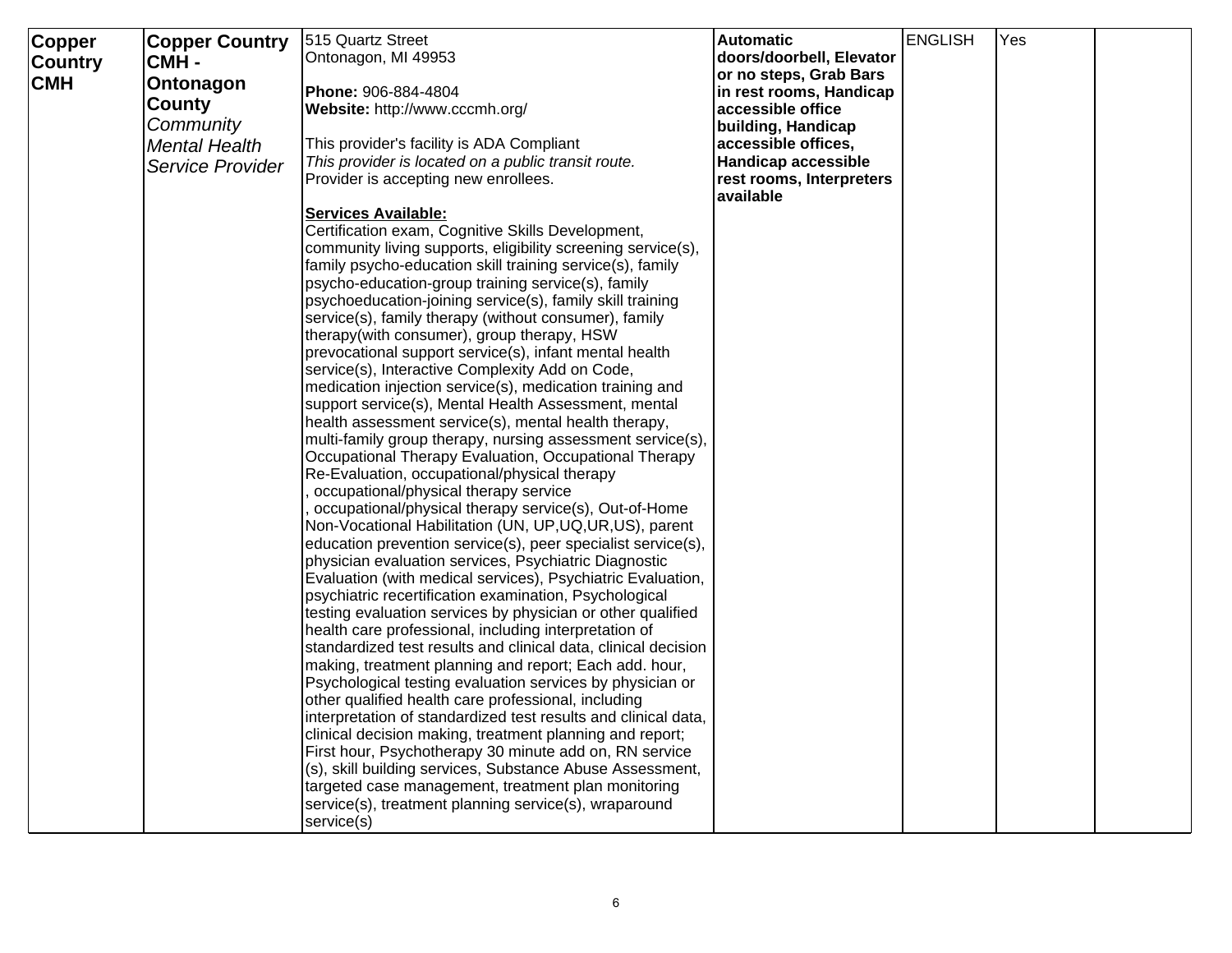| Copper<br><b>Country</b><br><b>CMH</b> | <b>Copper Country</b><br>CMH-<br>Ontonagon<br><b>County</b><br>Community<br><b>Mental Health</b><br>Service Provider | 515 Quartz Street<br>Ontonagon, MI 49953<br>Phone: 906-884-4804<br>Website: http://www.cccmh.org/<br>This provider's facility is ADA Compliant<br>This provider is located on a public transit route.<br>Provider is accepting new enrollees.<br><b>Services Available:</b><br>Certification exam, Cognitive Skills Development,<br>community living supports, eligibility screening service(s),<br>family psycho-education skill training service(s), family<br>psycho-education-group training service(s), family<br>psychoeducation-joining service(s), family skill training<br>service(s), family therapy (without consumer), family<br>therapy(with consumer), group therapy, HSW<br>prevocational support service(s), infant mental health<br>service(s), Interactive Complexity Add on Code,<br>medication injection service(s), medication training and<br>support service(s), Mental Health Assessment, mental<br>health assessment service(s), mental health therapy,<br>multi-family group therapy, nursing assessment service(s),<br>Occupational Therapy Evaluation, Occupational Therapy<br>Re-Evaluation, occupational/physical therapy<br>occupational/physical therapy service<br>occupational/physical therapy service(s), Out-of-Home<br>Non-Vocational Habilitation (UN, UP, UQ, UR, US), parent<br>education prevention service(s), peer specialist service(s),<br>physician evaluation services, Psychiatric Diagnostic<br>Evaluation (with medical services), Psychiatric Evaluation,<br>psychiatric recertification examination, Psychological<br>testing evaluation services by physician or other qualified<br>health care professional, including interpretation of<br>standardized test results and clinical data, clinical decision<br>making, treatment planning and report; Each add. hour,<br>Psychological testing evaluation services by physician or<br>other qualified health care professional, including<br>interpretation of standardized test results and clinical data, | <b>Automatic</b><br>doors/doorbell, Elevator<br>or no steps, Grab Bars<br>in rest rooms, Handicap<br>accessible office<br>building, Handicap<br>accessible offices,<br><b>Handicap accessible</b><br>rest rooms, Interpreters<br>available | <b>ENGLISH</b> | <b>Yes</b> |  |
|----------------------------------------|----------------------------------------------------------------------------------------------------------------------|-------------------------------------------------------------------------------------------------------------------------------------------------------------------------------------------------------------------------------------------------------------------------------------------------------------------------------------------------------------------------------------------------------------------------------------------------------------------------------------------------------------------------------------------------------------------------------------------------------------------------------------------------------------------------------------------------------------------------------------------------------------------------------------------------------------------------------------------------------------------------------------------------------------------------------------------------------------------------------------------------------------------------------------------------------------------------------------------------------------------------------------------------------------------------------------------------------------------------------------------------------------------------------------------------------------------------------------------------------------------------------------------------------------------------------------------------------------------------------------------------------------------------------------------------------------------------------------------------------------------------------------------------------------------------------------------------------------------------------------------------------------------------------------------------------------------------------------------------------------------------------------------------------------------------------------------------------------------------------------------------------------------|--------------------------------------------------------------------------------------------------------------------------------------------------------------------------------------------------------------------------------------------|----------------|------------|--|
|                                        |                                                                                                                      | clinical decision making, treatment planning and report;<br>First hour, Psychotherapy 30 minute add on, RN service<br>(s), skill building services, Substance Abuse Assessment,<br>targeted case management, treatment plan monitoring<br>service(s), treatment planning service(s), wraparound<br>service(s)                                                                                                                                                                                                                                                                                                                                                                                                                                                                                                                                                                                                                                                                                                                                                                                                                                                                                                                                                                                                                                                                                                                                                                                                                                                                                                                                                                                                                                                                                                                                                                                                                                                                                                     |                                                                                                                                                                                                                                            |                |            |  |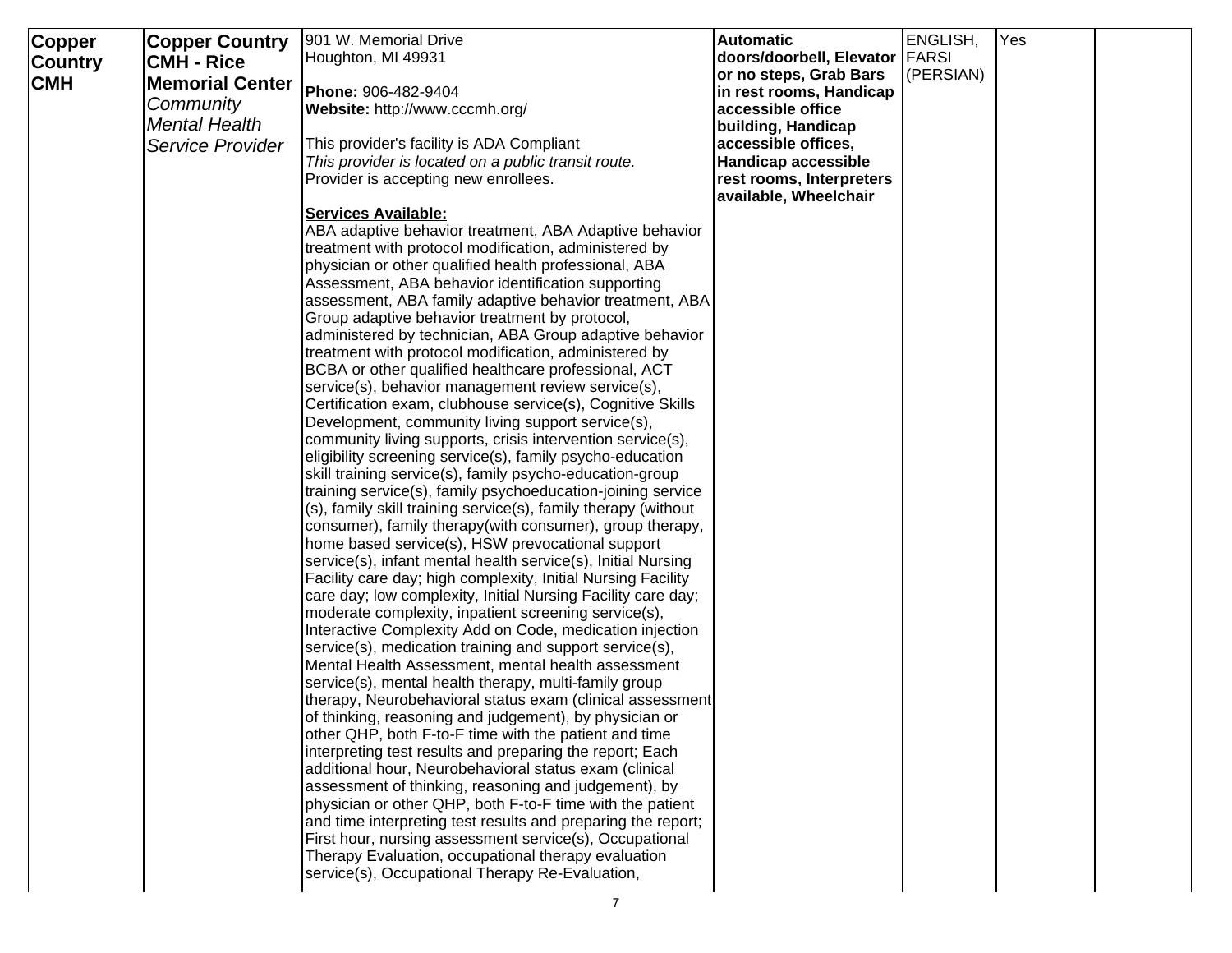| Copper         | <b>Copper Country</b><br><b>CMH - Rice</b> | 901 W. Memorial Drive<br>Houghton, MI 49931                                                                     | <b>Automatic</b><br>doors/doorbell, Elevator   FARSI | ENGLISH,  | Yes |  |
|----------------|--------------------------------------------|-----------------------------------------------------------------------------------------------------------------|------------------------------------------------------|-----------|-----|--|
| <b>Country</b> |                                            |                                                                                                                 | or no steps, Grab Bars                               | (PERSIAN) |     |  |
| <b>CMH</b>     | <b>Memorial Center</b>                     | Phone: 906-482-9404                                                                                             | in rest rooms, Handicap                              |           |     |  |
|                | Community                                  | Website: http://www.cccmh.org/                                                                                  | accessible office                                    |           |     |  |
|                | <b>Mental Health</b>                       |                                                                                                                 | building, Handicap                                   |           |     |  |
|                | Service Provider                           | This provider's facility is ADA Compliant                                                                       | accessible offices,                                  |           |     |  |
|                |                                            | This provider is located on a public transit route.                                                             | <b>Handicap accessible</b>                           |           |     |  |
|                |                                            | Provider is accepting new enrollees.                                                                            | rest rooms, Interpreters<br>available, Wheelchair    |           |     |  |
|                |                                            | <b>Services Available:</b>                                                                                      |                                                      |           |     |  |
|                |                                            | ABA adaptive behavior treatment, ABA Adaptive behavior                                                          |                                                      |           |     |  |
|                |                                            | treatment with protocol modification, administered by                                                           |                                                      |           |     |  |
|                |                                            | physician or other qualified health professional, ABA                                                           |                                                      |           |     |  |
|                |                                            | Assessment, ABA behavior identification supporting                                                              |                                                      |           |     |  |
|                |                                            | assessment, ABA family adaptive behavior treatment, ABA                                                         |                                                      |           |     |  |
|                |                                            | Group adaptive behavior treatment by protocol,                                                                  |                                                      |           |     |  |
|                |                                            | administered by technician, ABA Group adaptive behavior                                                         |                                                      |           |     |  |
|                |                                            | treatment with protocol modification, administered by                                                           |                                                      |           |     |  |
|                |                                            | BCBA or other qualified healthcare professional, ACT                                                            |                                                      |           |     |  |
|                |                                            | service(s), behavior management review service(s),                                                              |                                                      |           |     |  |
|                |                                            | Certification exam, clubhouse service(s), Cognitive Skills<br>Development, community living support service(s), |                                                      |           |     |  |
|                |                                            | community living supports, crisis intervention service(s),                                                      |                                                      |           |     |  |
|                |                                            | eligibility screening service(s), family psycho-education                                                       |                                                      |           |     |  |
|                |                                            | skill training service(s), family psycho-education-group                                                        |                                                      |           |     |  |
|                |                                            | training service(s), family psychoeducation-joining service                                                     |                                                      |           |     |  |
|                |                                            | (s), family skill training service(s), family therapy (without                                                  |                                                      |           |     |  |
|                |                                            | consumer), family therapy(with consumer), group therapy,                                                        |                                                      |           |     |  |
|                |                                            | home based service(s), HSW prevocational support                                                                |                                                      |           |     |  |
|                |                                            | service(s), infant mental health service(s), Initial Nursing                                                    |                                                      |           |     |  |
|                |                                            | Facility care day; high complexity, Initial Nursing Facility                                                    |                                                      |           |     |  |
|                |                                            | care day; low complexity, Initial Nursing Facility care day;                                                    |                                                      |           |     |  |
|                |                                            | moderate complexity, inpatient screening service(s),                                                            |                                                      |           |     |  |
|                |                                            | Interactive Complexity Add on Code, medication injection                                                        |                                                      |           |     |  |
|                |                                            | service(s), medication training and support service(s),                                                         |                                                      |           |     |  |
|                |                                            | Mental Health Assessment, mental health assessment                                                              |                                                      |           |     |  |
|                |                                            | service(s), mental health therapy, multi-family group                                                           |                                                      |           |     |  |
|                |                                            | therapy, Neurobehavioral status exam (clinical assessment                                                       |                                                      |           |     |  |
|                |                                            | of thinking, reasoning and judgement), by physician or                                                          |                                                      |           |     |  |
|                |                                            | other QHP, both F-to-F time with the patient and time                                                           |                                                      |           |     |  |
|                |                                            | interpreting test results and preparing the report; Each                                                        |                                                      |           |     |  |
|                |                                            | additional hour, Neurobehavioral status exam (clinical                                                          |                                                      |           |     |  |
|                |                                            | assessment of thinking, reasoning and judgement), by                                                            |                                                      |           |     |  |
|                |                                            | physician or other QHP, both F-to-F time with the patient                                                       |                                                      |           |     |  |
|                |                                            | and time interpreting test results and preparing the report;                                                    |                                                      |           |     |  |
|                |                                            | First hour, nursing assessment service(s), Occupational                                                         |                                                      |           |     |  |
|                |                                            | Therapy Evaluation, occupational therapy evaluation                                                             |                                                      |           |     |  |
|                |                                            | service(s), Occupational Therapy Re-Evaluation,                                                                 |                                                      |           |     |  |
|                |                                            |                                                                                                                 |                                                      |           |     |  |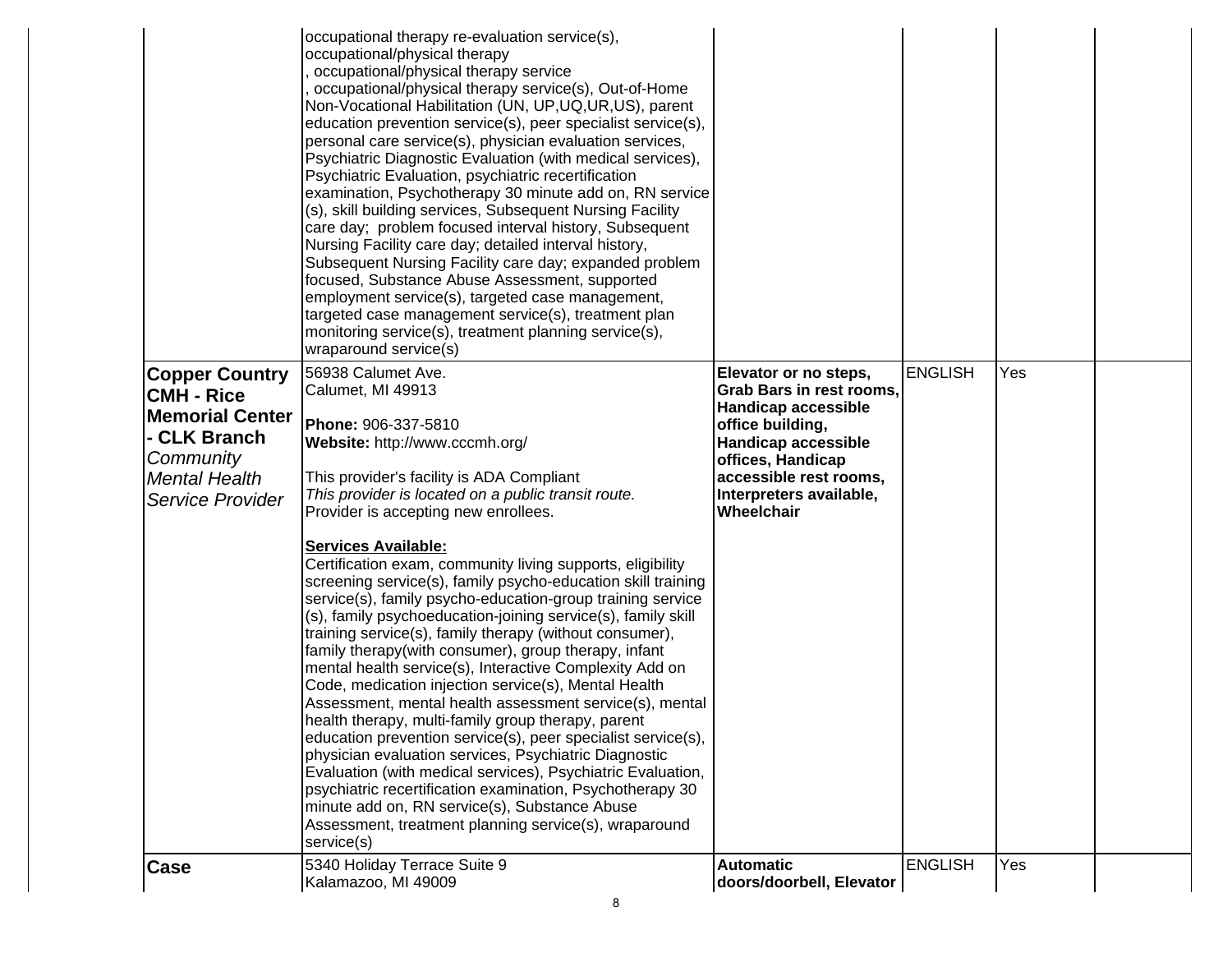|                                                                                                                                        | occupational therapy re-evaluation service(s),<br>occupational/physical therapy<br>occupational/physical therapy service<br>occupational/physical therapy service(s), Out-of-Home<br>Non-Vocational Habilitation (UN, UP,UQ,UR,US), parent<br>education prevention service(s), peer specialist service(s),<br>personal care service(s), physician evaluation services,<br>Psychiatric Diagnostic Evaluation (with medical services),<br>Psychiatric Evaluation, psychiatric recertification<br>examination, Psychotherapy 30 minute add on, RN service<br>(s), skill building services, Subsequent Nursing Facility<br>care day; problem focused interval history, Subsequent<br>Nursing Facility care day; detailed interval history,<br>Subsequent Nursing Facility care day; expanded problem<br>focused, Substance Abuse Assessment, supported<br>employment service(s), targeted case management,<br>targeted case management service(s), treatment plan<br>monitoring service(s), treatment planning service(s),<br>wraparound service(s)                                                                                                                                                                                                                            |                                                                                                                                                                                                                                  |                |     |  |
|----------------------------------------------------------------------------------------------------------------------------------------|----------------------------------------------------------------------------------------------------------------------------------------------------------------------------------------------------------------------------------------------------------------------------------------------------------------------------------------------------------------------------------------------------------------------------------------------------------------------------------------------------------------------------------------------------------------------------------------------------------------------------------------------------------------------------------------------------------------------------------------------------------------------------------------------------------------------------------------------------------------------------------------------------------------------------------------------------------------------------------------------------------------------------------------------------------------------------------------------------------------------------------------------------------------------------------------------------------------------------------------------------------------------------|----------------------------------------------------------------------------------------------------------------------------------------------------------------------------------------------------------------------------------|----------------|-----|--|
| <b>Copper Country</b><br><b>CMH - Rice</b><br><b>Memorial Center</b><br>- CLK Branch<br>Community<br>Mental Health<br>Service Provider | 56938 Calumet Ave.<br>Calumet, MI 49913<br>Phone: 906-337-5810<br>Website: http://www.cccmh.org/<br>This provider's facility is ADA Compliant<br>This provider is located on a public transit route.<br>Provider is accepting new enrollees.<br><b>Services Available:</b><br>Certification exam, community living supports, eligibility<br>screening service(s), family psycho-education skill training<br>service(s), family psycho-education-group training service<br>(s), family psychoeducation-joining service(s), family skill<br>training service(s), family therapy (without consumer),<br>family therapy(with consumer), group therapy, infant<br>mental health service(s), Interactive Complexity Add on<br>Code, medication injection service(s), Mental Health<br>Assessment, mental health assessment service(s), mental<br>health therapy, multi-family group therapy, parent<br>education prevention service(s), peer specialist service(s),<br>physician evaluation services, Psychiatric Diagnostic<br>Evaluation (with medical services), Psychiatric Evaluation,<br>psychiatric recertification examination, Psychotherapy 30<br>minute add on, RN service(s), Substance Abuse<br>Assessment, treatment planning service(s), wraparound<br>service(s) | Elevator or no steps,<br><b>Grab Bars in rest rooms,</b><br><b>Handicap accessible</b><br>office building,<br><b>Handicap accessible</b><br>offices, Handicap<br>accessible rest rooms,<br>Interpreters available,<br>Wheelchair | <b>ENGLISH</b> | Yes |  |
| Case                                                                                                                                   | 5340 Holiday Terrace Suite 9<br>Kalamazoo, MI 49009                                                                                                                                                                                                                                                                                                                                                                                                                                                                                                                                                                                                                                                                                                                                                                                                                                                                                                                                                                                                                                                                                                                                                                                                                        | <b>Automatic</b><br>doors/doorbell, Elevator                                                                                                                                                                                     | <b>ENGLISH</b> | Yes |  |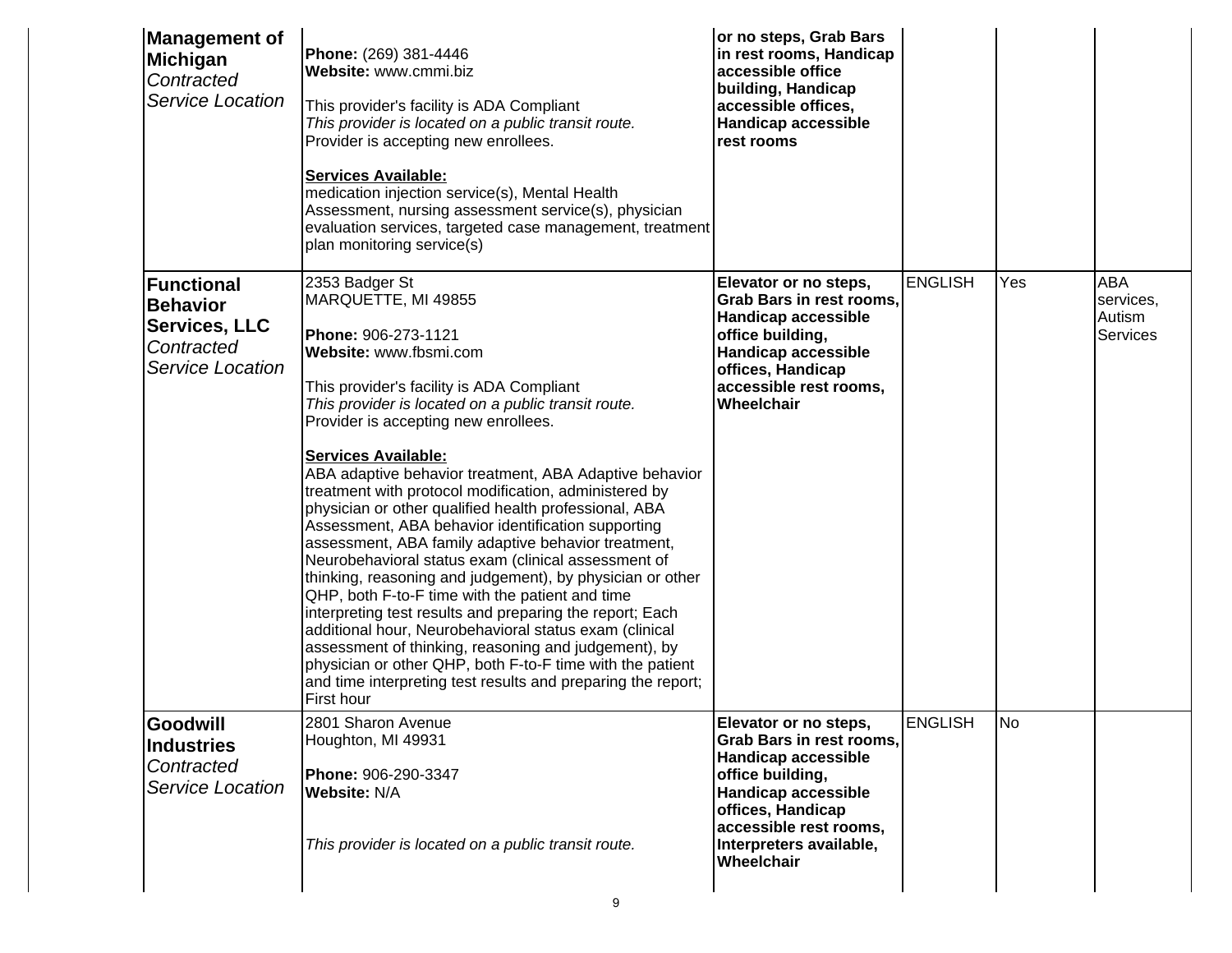| This provider is located on a public transit route.<br>Provider is accepting new enrollees.<br><b>Services Available:</b><br>medication injection service(s), Mental Health<br>Assessment, nursing assessment service(s), physician<br>evaluation services, targeted case management, treatment<br>plan monitoring service(s)<br>2353 Badger St<br>MARQUETTE, MI 49855<br>Phone: 906-273-1121<br>Website: www.fbsmi.com<br>This provider's facility is ADA Compliant<br>This provider is located on a public transit route. | <b>Handicap accessible</b><br>rest rooms<br>Elevator or no steps,<br>Grab Bars in rest rooms,<br><b>Handicap accessible</b> | <b>ENGLISH</b>                                       |                                 |                                   |
|-----------------------------------------------------------------------------------------------------------------------------------------------------------------------------------------------------------------------------------------------------------------------------------------------------------------------------------------------------------------------------------------------------------------------------------------------------------------------------------------------------------------------------|-----------------------------------------------------------------------------------------------------------------------------|------------------------------------------------------|---------------------------------|-----------------------------------|
|                                                                                                                                                                                                                                                                                                                                                                                                                                                                                                                             |                                                                                                                             |                                                      |                                 |                                   |
|                                                                                                                                                                                                                                                                                                                                                                                                                                                                                                                             |                                                                                                                             |                                                      |                                 |                                   |
|                                                                                                                                                                                                                                                                                                                                                                                                                                                                                                                             |                                                                                                                             |                                                      | Yes                             | <b>ABA</b><br>services,<br>Autism |
|                                                                                                                                                                                                                                                                                                                                                                                                                                                                                                                             | office building,<br><b>Handicap accessible</b><br>offices, Handicap                                                         |                                                      |                                 | <b>Services</b>                   |
| Provider is accepting new enrollees.                                                                                                                                                                                                                                                                                                                                                                                                                                                                                        | accessible rest rooms,<br>Wheelchair                                                                                        |                                                      |                                 |                                   |
| <b>Services Available:</b><br>ABA adaptive behavior treatment, ABA Adaptive behavior<br>treatment with protocol modification, administered by<br>physician or other qualified health professional, ABA<br>Assessment, ABA behavior identification supporting<br>assessment, ABA family adaptive behavior treatment,<br>Neurobehavioral status exam (clinical assessment of                                                                                                                                                  |                                                                                                                             |                                                      |                                 |                                   |
| thinking, reasoning and judgement), by physician or other<br>QHP, both F-to-F time with the patient and time<br>interpreting test results and preparing the report; Each<br>additional hour, Neurobehavioral status exam (clinical<br>assessment of thinking, reasoning and judgement), by<br>physician or other QHP, both F-to-F time with the patient<br>and time interpreting test results and preparing the report;<br>First hour                                                                                       |                                                                                                                             |                                                      |                                 |                                   |
| 2801 Sharon Avenue<br>Houghton, MI 49931                                                                                                                                                                                                                                                                                                                                                                                                                                                                                    | Elevator or no steps,                                                                                                       | <b>ENGLISH</b>                                       | lNo                             |                                   |
| Phone: 906-290-3347<br><b>Website: N/A</b>                                                                                                                                                                                                                                                                                                                                                                                                                                                                                  | office building,<br><b>Handicap accessible</b><br>offices, Handicap                                                         |                                                      |                                 |                                   |
|                                                                                                                                                                                                                                                                                                                                                                                                                                                                                                                             | Interpreters available,<br>Wheelchair                                                                                       |                                                      |                                 |                                   |
|                                                                                                                                                                                                                                                                                                                                                                                                                                                                                                                             | This provider is located on a public transit route.                                                                         | <b>Handicap accessible</b><br>accessible rest rooms, | <b>Grab Bars in rest rooms,</b> | 9                                 |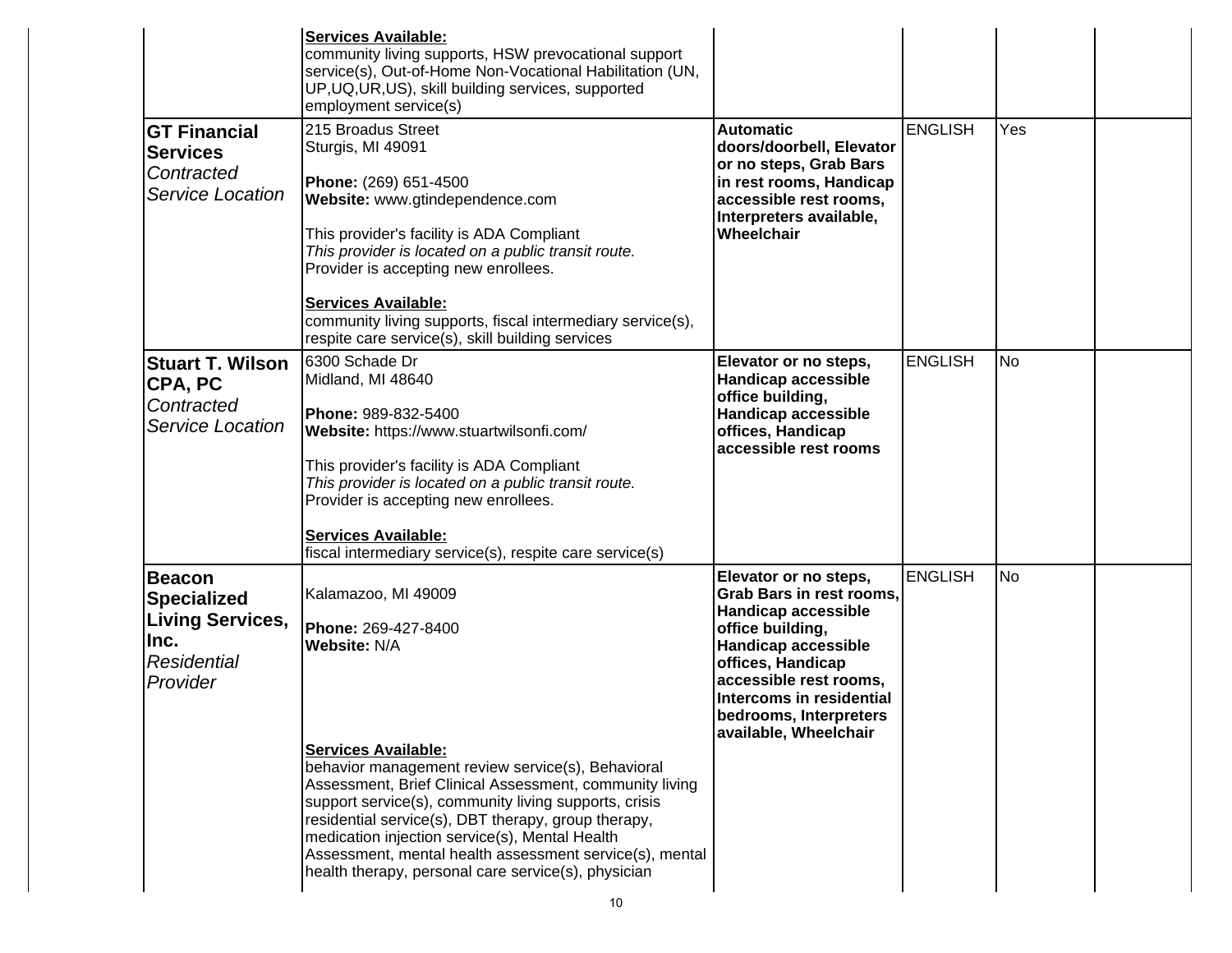|                                                                                                    | <b>Services Available:</b><br>community living supports, HSW prevocational support<br>service(s), Out-of-Home Non-Vocational Habilitation (UN,<br>UP, UQ, UR, US), skill building services, supported<br>employment service(s)                                                                                                                                                                                                                                                               |                                                                                                                                                                                                                                                                 |                |     |  |
|----------------------------------------------------------------------------------------------------|----------------------------------------------------------------------------------------------------------------------------------------------------------------------------------------------------------------------------------------------------------------------------------------------------------------------------------------------------------------------------------------------------------------------------------------------------------------------------------------------|-----------------------------------------------------------------------------------------------------------------------------------------------------------------------------------------------------------------------------------------------------------------|----------------|-----|--|
| <b>GT Financial</b><br><b>Services</b><br>Contracted<br>Service Location                           | 215 Broadus Street<br>Sturgis, MI 49091<br>Phone: (269) 651-4500<br>Website: www.gtindependence.com<br>This provider's facility is ADA Compliant<br>This provider is located on a public transit route.<br>Provider is accepting new enrollees.<br><b>Services Available:</b><br>community living supports, fiscal intermediary service(s),<br>respite care service(s), skill building services                                                                                              | <b>Automatic</b><br>doors/doorbell, Elevator<br>or no steps, Grab Bars<br>in rest rooms, Handicap<br>accessible rest rooms.<br>Interpreters available,<br>Wheelchair                                                                                            | ENGLISH        | Yes |  |
| <b>Stuart T. Wilson</b><br>CPA, PC<br>Contracted<br>Service Location                               | 16300 Schade Dr<br>Midland, MI 48640<br>Phone: 989-832-5400<br>Website: https://www.stuartwilsonfi.com/<br>This provider's facility is ADA Compliant<br>This provider is located on a public transit route.<br>Provider is accepting new enrollees.<br><b>Services Available:</b><br>fiscal intermediary service(s), respite care service(s)                                                                                                                                                 | Elevator or no steps,<br><b>Handicap accessible</b><br>office building,<br>Handicap accessible<br>offices, Handicap<br>accessible rest rooms                                                                                                                    | <b>ENGLISH</b> | lNo |  |
| <b>Beacon</b><br>Specialized<br><b>Living Services,</b><br>llnc.<br><b>Residential</b><br>Provider | Kalamazoo, MI 49009<br>Phone: 269-427-8400<br>Website: N/A<br><b>Services Available:</b><br>behavior management review service(s), Behavioral<br>Assessment, Brief Clinical Assessment, community living<br>support service(s), community living supports, crisis<br>residential service(s), DBT therapy, group therapy,<br>medication injection service(s), Mental Health<br>Assessment, mental health assessment service(s), mental<br>health therapy, personal care service(s), physician | Elevator or no steps,<br>Grab Bars in rest rooms,<br><b>Handicap accessible</b><br>office building,<br><b>Handicap accessible</b><br>offices, Handicap<br>accessible rest rooms,<br>Intercoms in residential<br>bedrooms, Interpreters<br>available, Wheelchair | <b>ENGLISH</b> | No  |  |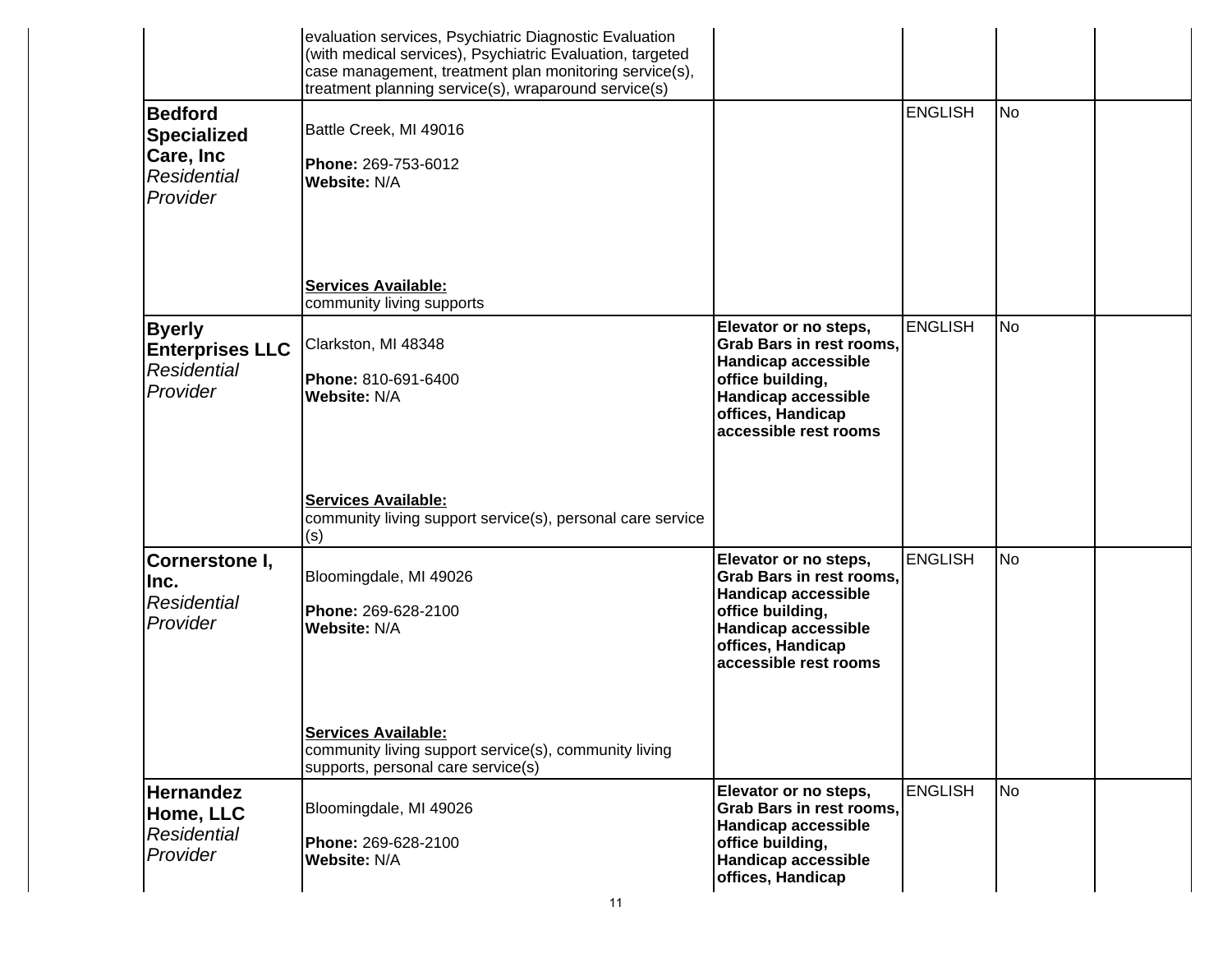|                                                                                     | evaluation services, Psychiatric Diagnostic Evaluation<br>(with medical services), Psychiatric Evaluation, targeted<br>case management, treatment plan monitoring service(s),<br>treatment planning service(s), wraparound service(s) |                                                                                                                                                                                 |                |           |  |
|-------------------------------------------------------------------------------------|---------------------------------------------------------------------------------------------------------------------------------------------------------------------------------------------------------------------------------------|---------------------------------------------------------------------------------------------------------------------------------------------------------------------------------|----------------|-----------|--|
| <b>Bedford</b><br><b>Specialized</b><br>Care, Inc<br><b>Residential</b><br>Provider | Battle Creek, MI 49016<br>Phone: 269-753-6012<br><b>Website: N/A</b><br><b>Services Available:</b><br>community living supports                                                                                                       |                                                                                                                                                                                 | <b>ENGLISH</b> | No.       |  |
| <b>Byerly</b><br><b>Enterprises LLC</b><br><b>Residential</b><br>Provider           | Clarkston, MI 48348<br>Phone: 810-691-6400<br><b>Website: N/A</b><br><b>Services Available:</b><br>community living support service(s), personal care service<br>(s)                                                                  | Elevator or no steps,<br><b>Grab Bars in rest rooms,</b><br>Handicap accessible<br>office building,<br>Handicap accessible<br>offices, Handicap<br>accessible rest rooms        | <b>ENGLISH</b> | <b>No</b> |  |
| Cornerstone I,<br>llnc.<br><b>Residential</b><br>Provider                           | Bloomingdale, MI 49026<br>Phone: 269-628-2100<br><b>Website: N/A</b><br><b>Services Available:</b><br>community living support service(s), community living<br>supports, personal care service(s)                                     | Elevator or no steps,<br><b>Grab Bars in rest rooms,</b><br><b>Handicap accessible</b><br>office building,<br>Handicap accessible<br>offices, Handicap<br>accessible rest rooms | <b>ENGLISH</b> | No        |  |
| <b>Hernandez</b><br>Home, LLC<br><b>Residential</b><br>Provider                     | Bloomingdale, MI 49026<br>Phone: 269-628-2100<br>Website: N/A<br>11                                                                                                                                                                   | Elevator or no steps,<br><b>Grab Bars in rest rooms,</b><br><b>Handicap accessible</b><br>office building,<br>Handicap accessible<br>offices, Handicap                          | <b>ENGLISH</b> | No        |  |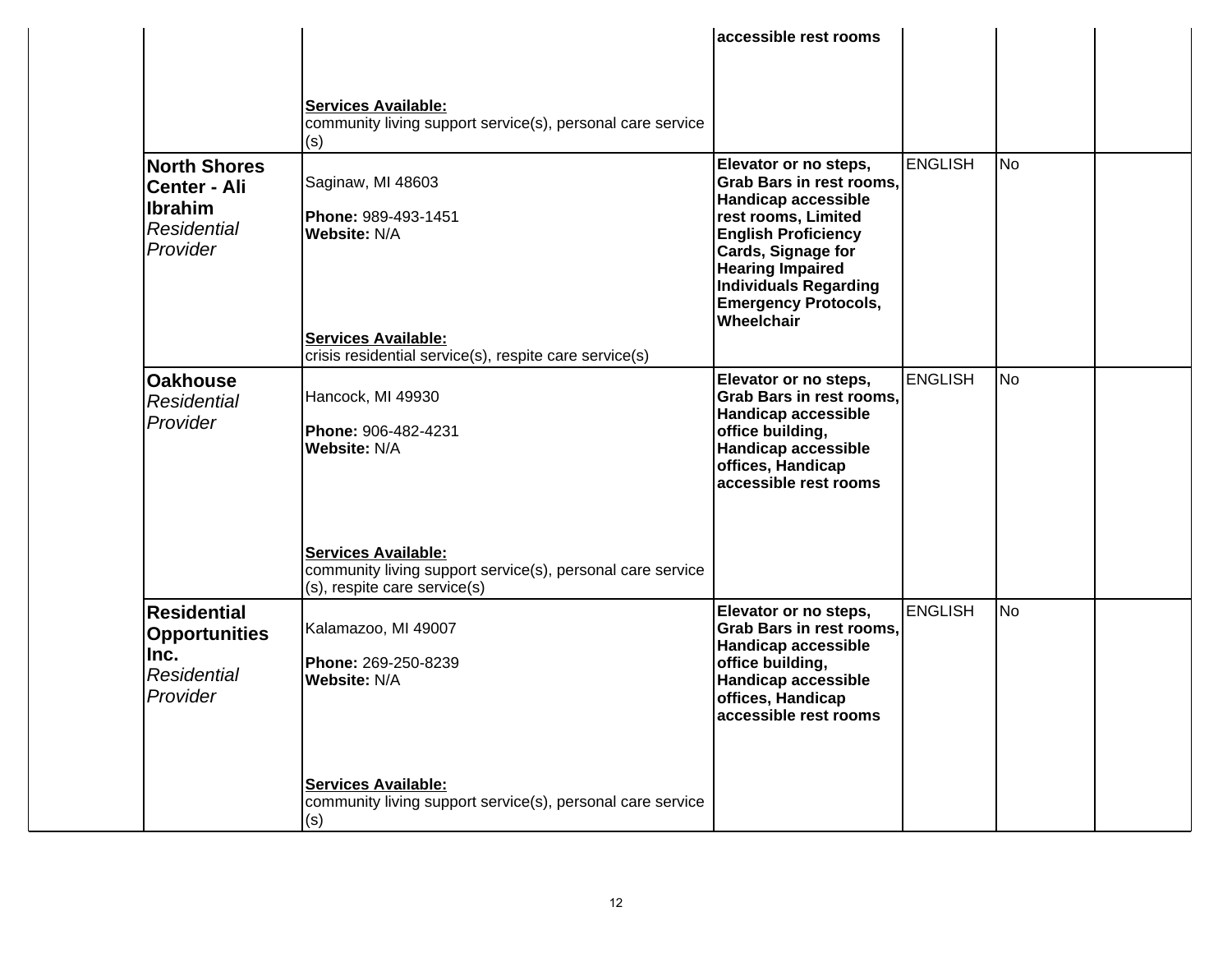|                                                                                                |                                                                                                                                                                                             | accessible rest rooms                                                                                                                                                                                                                                                     |         |                |  |
|------------------------------------------------------------------------------------------------|---------------------------------------------------------------------------------------------------------------------------------------------------------------------------------------------|---------------------------------------------------------------------------------------------------------------------------------------------------------------------------------------------------------------------------------------------------------------------------|---------|----------------|--|
|                                                                                                | <b>Services Available:</b><br>community living support service(s), personal care service<br>(s)                                                                                             |                                                                                                                                                                                                                                                                           |         |                |  |
| <b>North Shores</b><br><b>Center - Ali</b><br><b>Ibrahim</b><br><b>Residential</b><br>Provider | Saginaw, MI 48603<br>Phone: 989-493-1451<br>Website: N/A<br><b>Services Available:</b><br>crisis residential service(s), respite care service(s)                                            | Elevator or no steps,<br><b>Grab Bars in rest rooms,</b><br><b>Handicap accessible</b><br>rest rooms, Limited<br><b>English Proficiency</b><br>Cards, Signage for<br><b>Hearing Impaired</b><br><b>Individuals Regarding</b><br><b>Emergency Protocols,</b><br>Wheelchair | ENGLISH | <b>No</b>      |  |
| <b>Oakhouse</b><br><b>Residential</b><br>Provider                                              | Hancock, MI 49930<br>Phone: 906-482-4231<br><b>Website: N/A</b><br><b>Services Available:</b><br>community living support service(s), personal care service<br>(s), respite care service(s) | Elevator or no steps,<br><b>Grab Bars in rest rooms,</b><br><b>Handicap accessible</b><br>office building,<br><b>Handicap accessible</b><br>offices, Handicap<br>accessible rest rooms                                                                                    | ENGLISH | N <sub>o</sub> |  |
| <b>Residential</b><br><b>Opportunities</b><br>lInc.<br><b>Residential</b><br>Provider          | Kalamazoo, MI 49007<br><b>Phone: 269-250-8239</b><br><b>Website: N/A</b><br><b>Services Available:</b>                                                                                      | Elevator or no steps,<br>Grab Bars in rest rooms.<br><b>Handicap accessible</b><br>office building,<br><b>Handicap accessible</b><br>offices, Handicap<br>accessible rest rooms                                                                                           | ENGLISH | <b>No</b>      |  |
|                                                                                                | community living support service(s), personal care service<br>(s)                                                                                                                           |                                                                                                                                                                                                                                                                           |         |                |  |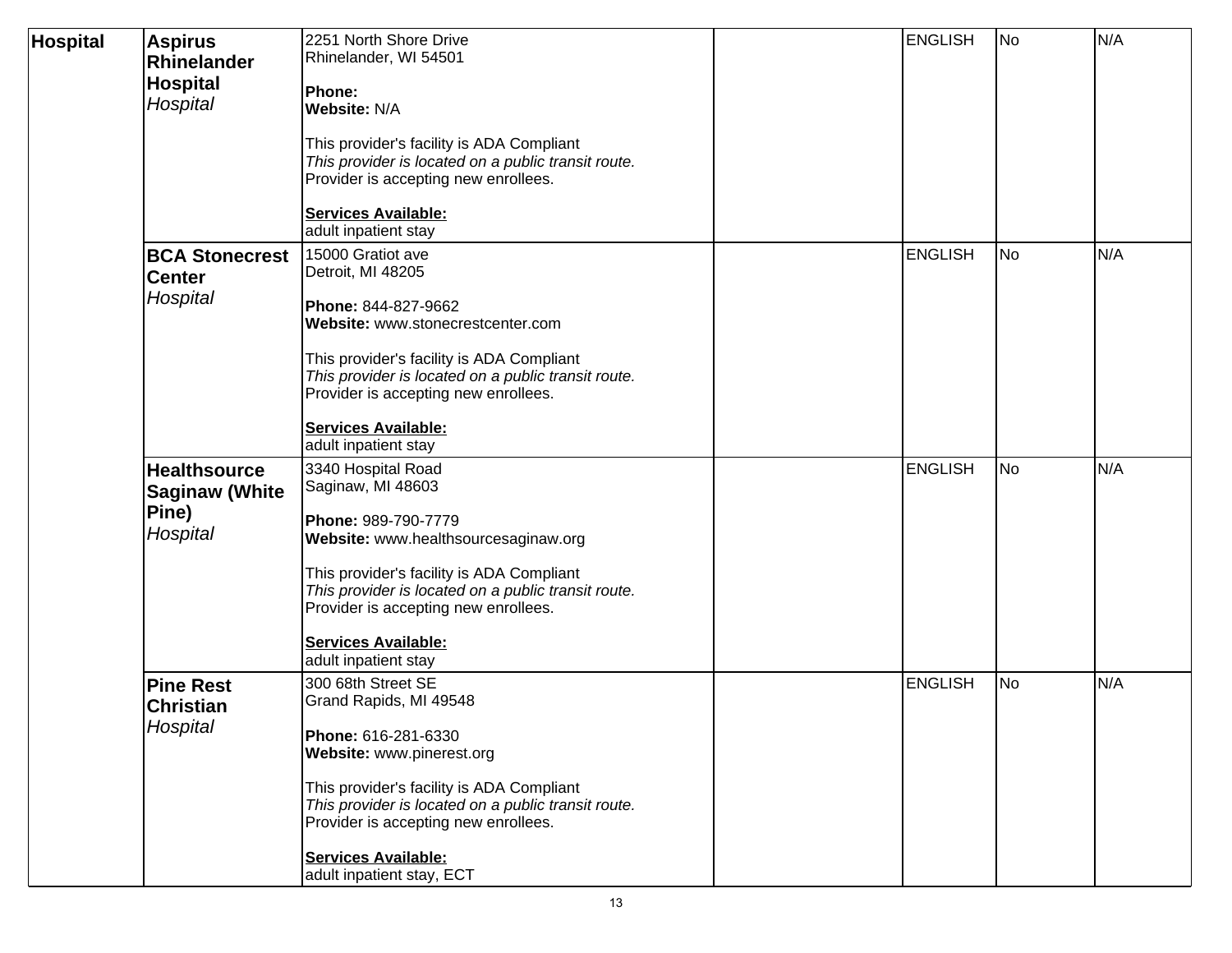| <b>Hospital</b> | <b>Aspirus</b><br>Rhinelander<br><b>Hospital</b>                  | 2251 North Shore Drive<br>Rhinelander, WI 54501<br>Phone:                                                                                                                     | <b>ENGLISH</b> | No | N/A |
|-----------------|-------------------------------------------------------------------|-------------------------------------------------------------------------------------------------------------------------------------------------------------------------------|----------------|----|-----|
|                 | Hospital                                                          | Website: N/A<br>This provider's facility is ADA Compliant<br>This provider is located on a public transit route.<br>Provider is accepting new enrollees.                      |                |    |     |
|                 |                                                                   | <b>Services Available:</b><br>adult inpatient stay                                                                                                                            |                |    |     |
|                 | <b>BCA Stonecrest</b><br><b>Center</b><br>Hospital                | 15000 Gratiot ave<br>Detroit, MI 48205<br>Phone: 844-827-9662                                                                                                                 | <b>ENGLISH</b> | No | N/A |
|                 |                                                                   | Website: www.stonecrestcenter.com<br>This provider's facility is ADA Compliant<br>This provider is located on a public transit route.<br>Provider is accepting new enrollees. |                |    |     |
|                 |                                                                   | <b>Services Available:</b><br>adult inpatient stay                                                                                                                            |                |    |     |
|                 | <b>Healthsource</b><br><b>Saginaw (White</b><br>Pine)<br>Hospital | 3340 Hospital Road<br>Saginaw, MI 48603<br>Phone: 989-790-7779<br>Website: www.healthsourcesaginaw.org                                                                        | <b>ENGLISH</b> | No | N/A |
|                 |                                                                   | This provider's facility is ADA Compliant<br>This provider is located on a public transit route.<br>Provider is accepting new enrollees.                                      |                |    |     |
|                 |                                                                   | <b>Services Available:</b><br>adult inpatient stay                                                                                                                            |                |    |     |
|                 | <b>Pine Rest</b><br><b>Christian</b><br>Hospital                  | 300 68th Street SE<br>Grand Rapids, MI 49548<br>Phone: 616-281-6330                                                                                                           | <b>ENGLISH</b> | No | N/A |
|                 |                                                                   | Website: www.pinerest.org<br>This provider's facility is ADA Compliant<br>This provider is located on a public transit route.<br>Provider is accepting new enrollees.         |                |    |     |
|                 |                                                                   | <b>Services Available:</b><br>adult inpatient stay, ECT                                                                                                                       |                |    |     |